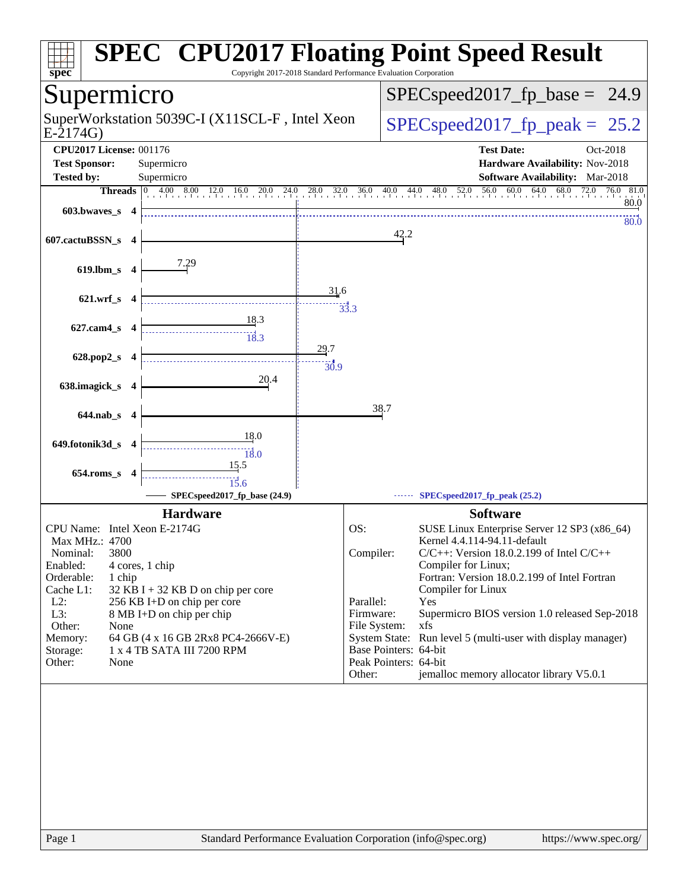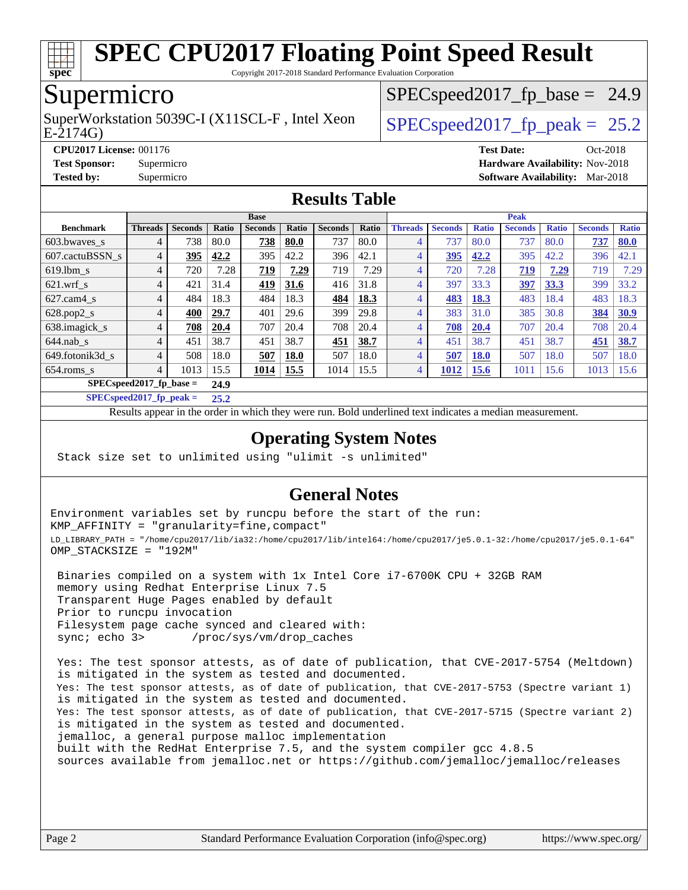

Copyright 2017-2018 Standard Performance Evaluation Corporation

## Supermicro

E-2174G) SuperWorkstation 5039C-I (X11SCL-F, Intel Xeon  $\big|$  SPECspeed2017 fp\_peak = 25.2

 $SPECspeed2017<sub>fp</sub> base = 24.9$ 

**[CPU2017 License:](http://www.spec.org/auto/cpu2017/Docs/result-fields.html#CPU2017License)** 001176 **[Test Date:](http://www.spec.org/auto/cpu2017/Docs/result-fields.html#TestDate)** Oct-2018 **[Test Sponsor:](http://www.spec.org/auto/cpu2017/Docs/result-fields.html#TestSponsor)** Supermicro **[Hardware Availability:](http://www.spec.org/auto/cpu2017/Docs/result-fields.html#HardwareAvailability)** Nov-2018 **[Tested by:](http://www.spec.org/auto/cpu2017/Docs/result-fields.html#Testedby)** Supermicro **[Software Availability:](http://www.spec.org/auto/cpu2017/Docs/result-fields.html#SoftwareAvailability)** Mar-2018

#### **[Results Table](http://www.spec.org/auto/cpu2017/Docs/result-fields.html#ResultsTable)**

|                                    | <b>Base</b>    |                |       |                |             |                | <b>Peak</b> |                |                |              |                |              |                |              |
|------------------------------------|----------------|----------------|-------|----------------|-------------|----------------|-------------|----------------|----------------|--------------|----------------|--------------|----------------|--------------|
| <b>Benchmark</b>                   | <b>Threads</b> | <b>Seconds</b> | Ratio | <b>Seconds</b> | Ratio       | <b>Seconds</b> | Ratio       | <b>Threads</b> | <b>Seconds</b> | <b>Ratio</b> | <b>Seconds</b> | <b>Ratio</b> | <b>Seconds</b> | <b>Ratio</b> |
| $603.bwaves$ s                     | 4              | 738            | 80.0  | 738            | 80.0        | 737            | 80.0        | 4              | 737            | 80.0         | 737            | 80.0         | 737            | 80.0         |
| 607.cactuBSSN s                    | 4              | 395            | 42.2  | 395            | 42.2        | 396            | 42.1        | $\overline{4}$ | 395            | 42.2         | 395            | 42.2         | 396            | 42.1         |
| $619.1$ bm s                       | 4              | 720            | 7.28  | <u>719</u>     | 7.29        | 719            | 7.29        | $\overline{4}$ | 720            | 7.28         | 719            | 7.29         | 719            | 7.29         |
| $621$ .wrf s                       | 4              | 421            | 31.4  | 419            | 31.6        | 416            | 31.8        | 4              | 397            | 33.3         | 397            | 33.3         | 399            | 33.2         |
| $627$ .cam $4 \text{ s}$           | 4              | 484            | 18.3  | 484            | 18.3        | 484            | 18.3        | 4              | 483            | <b>18.3</b>  | 483            | 18.4         | 483            | 18.3         |
| $628.pop2_s$                       | 4              | 400            | 29.7  | 401            | 29.6        | 399            | 29.8        | 4              | 383            | 31.0         | 385            | 30.8         | 384            | 30.9         |
| 638.imagick_s                      | 4              | 708            | 20.4  | 707            | 20.4        | 708            | 20.4        | 4              | 708            | 20.4         | 707            | 20.4         | 708            | 20.4         |
| $644$ .nab s                       | 4              | 451            | 38.7  | 451            | 38.7        | 451            | 38.7        | 4              | 451            | 38.7         | 451            | 38.7         | 451            | 38.7         |
| 649.fotonik3d s                    | 4              | 508            | 18.0  | 507            | <b>18.0</b> | 507            | 18.0        | 4              | 507            | <b>18.0</b>  | 507            | 18.0         | 507            | 18.0         |
| $654$ .roms s                      | 4              | 1013           | 15.5  | 1014           | 15.5        | 1014           | 15.5        | 4              | 1012           | <b>15.6</b>  | 1011           | 15.6         | 1013           | 15.6         |
| $SPEC speed2017$ fp base =<br>24.9 |                |                |       |                |             |                |             |                |                |              |                |              |                |              |

**[SPECspeed2017\\_fp\\_peak =](http://www.spec.org/auto/cpu2017/Docs/result-fields.html#SPECspeed2017fppeak) 25.2**

Results appear in the [order in which they were run.](http://www.spec.org/auto/cpu2017/Docs/result-fields.html#RunOrder) Bold underlined text [indicates a median measurement](http://www.spec.org/auto/cpu2017/Docs/result-fields.html#Median).

#### **[Operating System Notes](http://www.spec.org/auto/cpu2017/Docs/result-fields.html#OperatingSystemNotes)**

Stack size set to unlimited using "ulimit -s unlimited"

#### **[General Notes](http://www.spec.org/auto/cpu2017/Docs/result-fields.html#GeneralNotes)**

Environment variables set by runcpu before the start of the run: KMP\_AFFINITY = "granularity=fine,compact" LD\_LIBRARY\_PATH = "/home/cpu2017/lib/ia32:/home/cpu2017/lib/intel64:/home/cpu2017/je5.0.1-32:/home/cpu2017/je5.0.1-64" OMP\_STACKSIZE = "192M"

 Binaries compiled on a system with 1x Intel Core i7-6700K CPU + 32GB RAM memory using Redhat Enterprise Linux 7.5 Transparent Huge Pages enabled by default Prior to runcpu invocation Filesystem page cache synced and cleared with: sync; echo 3> /proc/sys/vm/drop\_caches

 Yes: The test sponsor attests, as of date of publication, that CVE-2017-5754 (Meltdown) is mitigated in the system as tested and documented. Yes: The test sponsor attests, as of date of publication, that CVE-2017-5753 (Spectre variant 1) is mitigated in the system as tested and documented. Yes: The test sponsor attests, as of date of publication, that CVE-2017-5715 (Spectre variant 2) is mitigated in the system as tested and documented. jemalloc, a general purpose malloc implementation built with the RedHat Enterprise 7.5, and the system compiler gcc 4.8.5 sources available from jemalloc.net or <https://github.com/jemalloc/jemalloc/releases>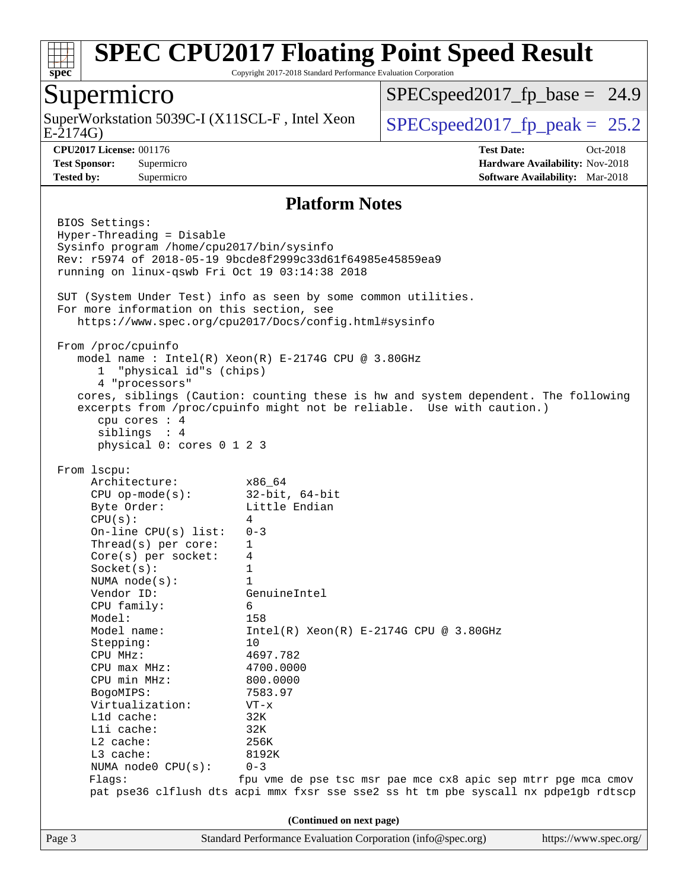

Copyright 2017-2018 Standard Performance Evaluation Corporation

### Supermicro

E-2174G) SuperWorkstation 5039C-I (X11SCL-F, Intel Xeon  $\big|$  [SPECspeed2017\\_fp\\_peak =](http://www.spec.org/auto/cpu2017/Docs/result-fields.html#SPECspeed2017fppeak) 25.2

 $SPECspeed2017<sub>fp</sub> base = 24.9$ 

**[CPU2017 License:](http://www.spec.org/auto/cpu2017/Docs/result-fields.html#CPU2017License)** 001176 **[Test Date:](http://www.spec.org/auto/cpu2017/Docs/result-fields.html#TestDate)** Oct-2018 **[Test Sponsor:](http://www.spec.org/auto/cpu2017/Docs/result-fields.html#TestSponsor)** Supermicro **[Hardware Availability:](http://www.spec.org/auto/cpu2017/Docs/result-fields.html#HardwareAvailability)** Nov-2018 **[Tested by:](http://www.spec.org/auto/cpu2017/Docs/result-fields.html#Testedby)** Supermicro **[Software Availability:](http://www.spec.org/auto/cpu2017/Docs/result-fields.html#SoftwareAvailability)** Mar-2018

#### **[Platform Notes](http://www.spec.org/auto/cpu2017/Docs/result-fields.html#PlatformNotes)**

Page 3 Standard Performance Evaluation Corporation [\(info@spec.org\)](mailto:info@spec.org) <https://www.spec.org/> BIOS Settings: Hyper-Threading = Disable Sysinfo program /home/cpu2017/bin/sysinfo Rev: r5974 of 2018-05-19 9bcde8f2999c33d61f64985e45859ea9 running on linux-qswb Fri Oct 19 03:14:38 2018 SUT (System Under Test) info as seen by some common utilities. For more information on this section, see <https://www.spec.org/cpu2017/Docs/config.html#sysinfo> From /proc/cpuinfo model name : Intel(R) Xeon(R) E-2174G CPU @ 3.80GHz 1 "physical id"s (chips) 4 "processors" cores, siblings (Caution: counting these is hw and system dependent. The following excerpts from /proc/cpuinfo might not be reliable. Use with caution.) cpu cores : 4 siblings : 4 physical 0: cores 0 1 2 3 From lscpu: Architecture: x86\_64 CPU op-mode(s): 32-bit, 64-bit Byte Order: Little Endian  $CPU(s):$  4 On-line CPU(s) list: 0-3 Thread(s) per core: 1 Core(s) per socket: 4 Socket(s): 1 NUMA node(s): 1 Vendor ID: GenuineIntel CPU family: 6 Model: 158 Model name:  $Intel(R)$  Xeon(R) E-2174G CPU @ 3.80GHz Stepping: 10 CPU MHz: 4697.782 CPU max MHz: 4700.0000 CPU min MHz: 800.0000 BogoMIPS: 7583.97 Virtualization: VT-x L1d cache: 32K L1i cache: 32K L2 cache: 256K L3 cache: 8192K NUMA node0 CPU(s): 0-3 Flags: fpu vme de pse tsc msr pae mce cx8 apic sep mtrr pge mca cmov pat pse36 clflush dts acpi mmx fxsr sse sse2 ss ht tm pbe syscall nx pdpe1gb rdtscp **(Continued on next page)**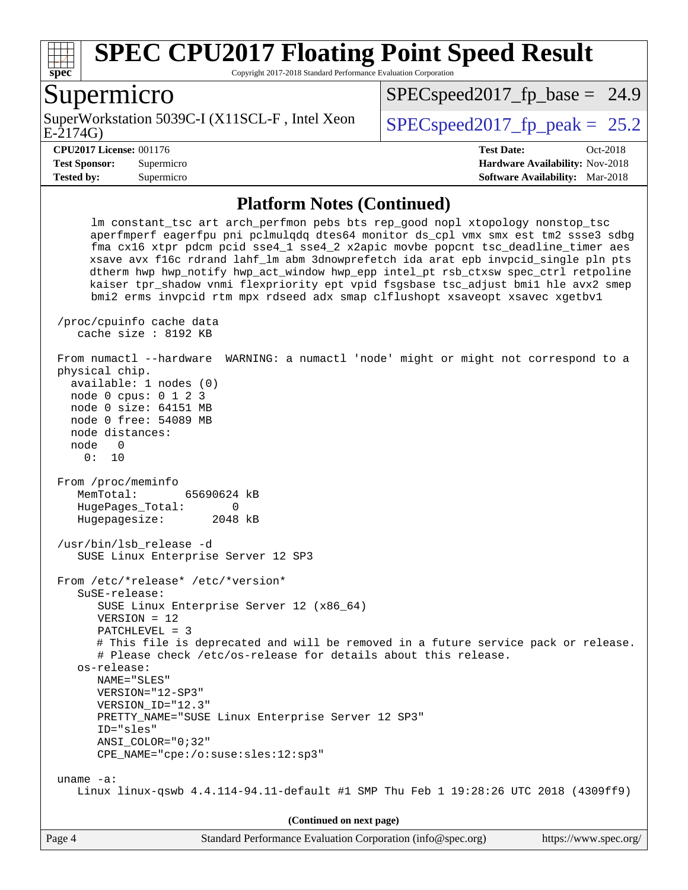

Copyright 2017-2018 Standard Performance Evaluation Corporation

#### Supermicro

E-2174G) SuperWorkstation 5039C-I (X11SCL-F, Intel Xeon  $\big|$  SPECspeed2017 fp\_peak = 25.2

 $SPECspeed2017<sub>fp</sub> base = 24.9$ 

**[Tested by:](http://www.spec.org/auto/cpu2017/Docs/result-fields.html#Testedby)** Supermicro **[Software Availability:](http://www.spec.org/auto/cpu2017/Docs/result-fields.html#SoftwareAvailability)** Mar-2018

**[CPU2017 License:](http://www.spec.org/auto/cpu2017/Docs/result-fields.html#CPU2017License)** 001176 **[Test Date:](http://www.spec.org/auto/cpu2017/Docs/result-fields.html#TestDate)** Oct-2018 **[Test Sponsor:](http://www.spec.org/auto/cpu2017/Docs/result-fields.html#TestSponsor)** Supermicro **[Hardware Availability:](http://www.spec.org/auto/cpu2017/Docs/result-fields.html#HardwareAvailability)** Nov-2018

#### **[Platform Notes \(Continued\)](http://www.spec.org/auto/cpu2017/Docs/result-fields.html#PlatformNotes)**

 lm constant\_tsc art arch\_perfmon pebs bts rep\_good nopl xtopology nonstop\_tsc aperfmperf eagerfpu pni pclmulqdq dtes64 monitor ds\_cpl vmx smx est tm2 ssse3 sdbg fma cx16 xtpr pdcm pcid sse4\_1 sse4\_2 x2apic movbe popcnt tsc\_deadline\_timer aes xsave avx f16c rdrand lahf\_lm abm 3dnowprefetch ida arat epb invpcid\_single pln pts dtherm hwp hwp\_notify hwp\_act\_window hwp\_epp intel\_pt rsb\_ctxsw spec\_ctrl retpoline kaiser tpr\_shadow vnmi flexpriority ept vpid fsgsbase tsc\_adjust bmi1 hle avx2 smep bmi2 erms invpcid rtm mpx rdseed adx smap clflushopt xsaveopt xsavec xgetbv1 /proc/cpuinfo cache data cache size : 8192 KB From numactl --hardware WARNING: a numactl 'node' might or might not correspond to a physical chip. available: 1 nodes (0) node 0 cpus: 0 1 2 3 node 0 size: 64151 MB node 0 free: 54089 MB node distances: node 0 0: 10 From /proc/meminfo MemTotal: 65690624 kB HugePages Total: 0 Hugepagesize: 2048 kB /usr/bin/lsb\_release -d SUSE Linux Enterprise Server 12 SP3 From /etc/\*release\* /etc/\*version\* SuSE-release: SUSE Linux Enterprise Server 12 (x86\_64) VERSION = 12 PATCHLEVEL = 3 # This file is deprecated and will be removed in a future service pack or release. # Please check /etc/os-release for details about this release. os-release: NAME="SLES" VERSION="12-SP3" VERSION\_ID="12.3" PRETTY\_NAME="SUSE Linux Enterprise Server 12 SP3" ID="sles" ANSI\_COLOR="0;32" CPE\_NAME="cpe:/o:suse:sles:12:sp3" uname -a: Linux linux-qswb 4.4.114-94.11-default #1 SMP Thu Feb 1 19:28:26 UTC 2018 (4309ff9)

**(Continued on next page)**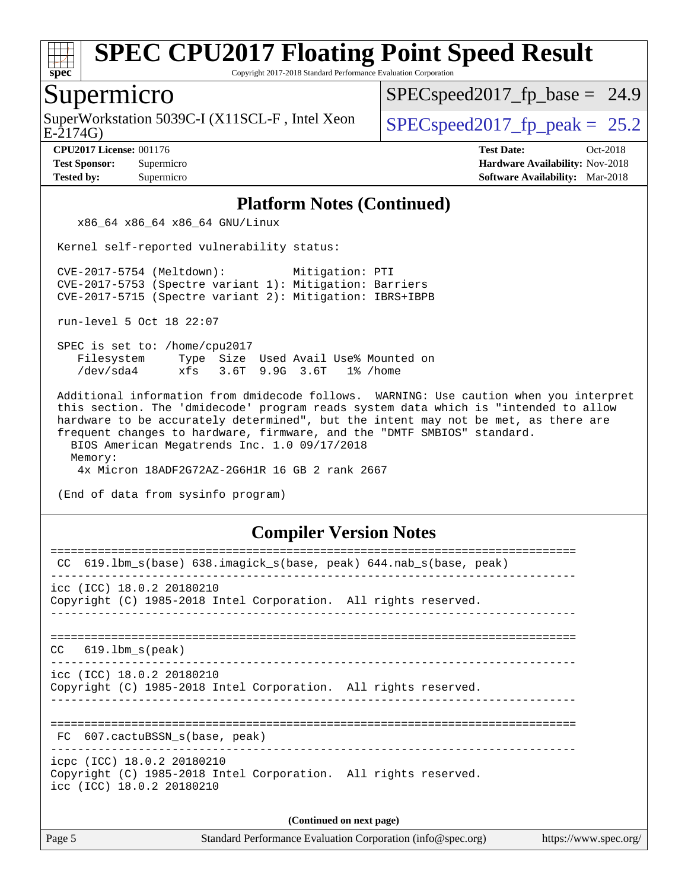

Copyright 2017-2018 Standard Performance Evaluation Corporation

#### Supermicro

E-2174G) SuperWorkstation 5039C-I (X11SCL-F, Intel Xeon  $\big|$  [SPECspeed2017\\_fp\\_peak =](http://www.spec.org/auto/cpu2017/Docs/result-fields.html#SPECspeed2017fppeak) 25.2

 $SPECspeed2017<sub>fp</sub> base = 24.9$ 

**[CPU2017 License:](http://www.spec.org/auto/cpu2017/Docs/result-fields.html#CPU2017License)** 001176 **[Test Date:](http://www.spec.org/auto/cpu2017/Docs/result-fields.html#TestDate)** Oct-2018 **[Test Sponsor:](http://www.spec.org/auto/cpu2017/Docs/result-fields.html#TestSponsor)** Supermicro **[Hardware Availability:](http://www.spec.org/auto/cpu2017/Docs/result-fields.html#HardwareAvailability)** Nov-2018 **[Tested by:](http://www.spec.org/auto/cpu2017/Docs/result-fields.html#Testedby)** Supermicro **[Software Availability:](http://www.spec.org/auto/cpu2017/Docs/result-fields.html#SoftwareAvailability)** Mar-2018

#### **[Platform Notes \(Continued\)](http://www.spec.org/auto/cpu2017/Docs/result-fields.html#PlatformNotes)**

x86\_64 x86\_64 x86\_64 GNU/Linux

Kernel self-reported vulnerability status:

 CVE-2017-5754 (Meltdown): Mitigation: PTI CVE-2017-5753 (Spectre variant 1): Mitigation: Barriers CVE-2017-5715 (Spectre variant 2): Mitigation: IBRS+IBPB

run-level 5 Oct 18 22:07

 SPEC is set to: /home/cpu2017 Filesystem Type Size Used Avail Use% Mounted on /dev/sda4 xfs 3.6T 9.9G 3.6T 1% /home

 Additional information from dmidecode follows. WARNING: Use caution when you interpret this section. The 'dmidecode' program reads system data which is "intended to allow hardware to be accurately determined", but the intent may not be met, as there are frequent changes to hardware, firmware, and the "DMTF SMBIOS" standard. BIOS American Megatrends Inc. 1.0 09/17/2018

 Memory: 4x Micron 18ADF2G72AZ-2G6H1R 16 GB 2 rank 2667

(End of data from sysinfo program)

#### **[Compiler Version Notes](http://www.spec.org/auto/cpu2017/Docs/result-fields.html#CompilerVersionNotes)**

| 619.1bm_s(base) 638.imagick_s(base, peak) 644.nab_s(base, peak)<br>CC                                                      |  |  |  |  |  |  |
|----------------------------------------------------------------------------------------------------------------------------|--|--|--|--|--|--|
| $\text{icc}$ (ICC) 18.0.2 20180210<br>Copyright (C) 1985-2018 Intel Corporation. All rights reserved.                      |  |  |  |  |  |  |
| $CC$ 619.1bm $s$ (peak)                                                                                                    |  |  |  |  |  |  |
| $\text{icc}$ (ICC) 18.0.2 20180210<br>Copyright (C) 1985-2018 Intel Corporation. All rights reserved.                      |  |  |  |  |  |  |
| FC 607.cactuBSSN s(base, peak)                                                                                             |  |  |  |  |  |  |
| icpc (ICC) 18.0.2 20180210<br>Copyright (C) 1985-2018 Intel Corporation. All rights reserved.<br>icc (ICC) 18.0.2 20180210 |  |  |  |  |  |  |
| (Continued on next page)                                                                                                   |  |  |  |  |  |  |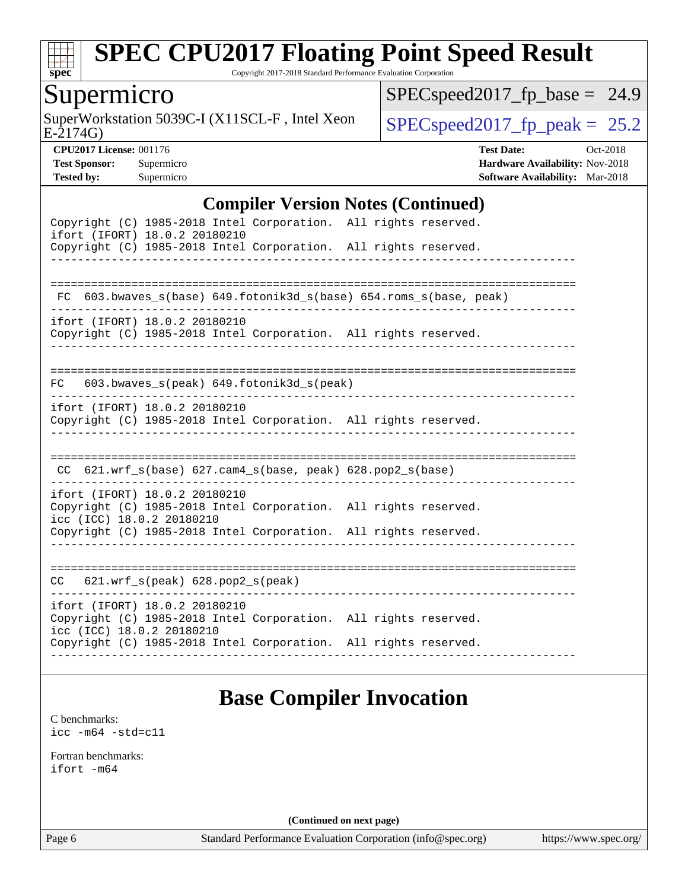

Copyright 2017-2018 Standard Performance Evaluation Corporation

### Supermicro

E-2174G) SuperWorkstation 5039C-I (X11SCL-F, Intel Xeon  $SPEC speed2017$  [p\_peak = 25.2]

[SPECspeed2017\\_fp\\_base =](http://www.spec.org/auto/cpu2017/Docs/result-fields.html#SPECspeed2017fpbase) 24.9

**[CPU2017 License:](http://www.spec.org/auto/cpu2017/Docs/result-fields.html#CPU2017License)** 001176 **[Test Date:](http://www.spec.org/auto/cpu2017/Docs/result-fields.html#TestDate)** Oct-2018 **[Test Sponsor:](http://www.spec.org/auto/cpu2017/Docs/result-fields.html#TestSponsor)** Supermicro **[Hardware Availability:](http://www.spec.org/auto/cpu2017/Docs/result-fields.html#HardwareAvailability)** Nov-2018 **[Tested by:](http://www.spec.org/auto/cpu2017/Docs/result-fields.html#Testedby)** Supermicro **[Software Availability:](http://www.spec.org/auto/cpu2017/Docs/result-fields.html#SoftwareAvailability)** Mar-2018

#### **[Compiler Version Notes \(Continued\)](http://www.spec.org/auto/cpu2017/Docs/result-fields.html#CompilerVersionNotes)**

| Copyright (C) 1985-2018 Intel Corporation. All rights reserved.<br>ifort (IFORT) 18.0.2 20180210                              |                                          |  |
|-------------------------------------------------------------------------------------------------------------------------------|------------------------------------------|--|
| Copyright (C) 1985-2018 Intel Corporation. All rights reserved.                                                               |                                          |  |
|                                                                                                                               |                                          |  |
| FC 603.bwaves_s(base) 649.fotonik3d_s(base) 654.roms_s(base, peak)                                                            |                                          |  |
| ifort (IFORT) 18.0.2 20180210<br>Copyright (C) 1985-2018 Intel Corporation. All rights reserved.                              |                                          |  |
| FC                                                                                                                            | 603.bwaves_s(peak) 649.fotonik3d_s(peak) |  |
| ifort (IFORT) 18.0.2 20180210<br>Copyright (C) 1985-2018 Intel Corporation. All rights reserved.                              |                                          |  |
| $CC$ 621.wrf_s(base) 627.cam4_s(base, peak) 628.pop2_s(base)                                                                  |                                          |  |
| ifort (IFORT) 18.0.2 20180210<br>Copyright (C) 1985-2018 Intel Corporation. All rights reserved.<br>icc (ICC) 18.0.2 20180210 |                                          |  |
| Copyright (C) 1985-2018 Intel Corporation. All rights reserved.                                                               |                                          |  |
| $CC$ 621.wrf $s(\text{peak})$ 628.pop2 $s(\text{peak})$                                                                       |                                          |  |
| ifort (IFORT) 18.0.2 20180210<br>Copyright (C) 1985-2018 Intel Corporation. All rights reserved.<br>icc (ICC) 18.0.2 20180210 |                                          |  |
| Copyright (C) 1985-2018 Intel Corporation. All rights reserved.                                                               |                                          |  |
|                                                                                                                               |                                          |  |

## **[Base Compiler Invocation](http://www.spec.org/auto/cpu2017/Docs/result-fields.html#BaseCompilerInvocation)**

[C benchmarks](http://www.spec.org/auto/cpu2017/Docs/result-fields.html#Cbenchmarks): [icc -m64 -std=c11](http://www.spec.org/cpu2017/results/res2018q4/cpu2017-20181112-09669.flags.html#user_CCbase_intel_icc_64bit_c11_33ee0cdaae7deeeab2a9725423ba97205ce30f63b9926c2519791662299b76a0318f32ddfffdc46587804de3178b4f9328c46fa7c2b0cd779d7a61945c91cd35)

[Fortran benchmarks](http://www.spec.org/auto/cpu2017/Docs/result-fields.html#Fortranbenchmarks): [ifort -m64](http://www.spec.org/cpu2017/results/res2018q4/cpu2017-20181112-09669.flags.html#user_FCbase_intel_ifort_64bit_24f2bb282fbaeffd6157abe4f878425411749daecae9a33200eee2bee2fe76f3b89351d69a8130dd5949958ce389cf37ff59a95e7a40d588e8d3a57e0c3fd751)

**(Continued on next page)**

Page 6 Standard Performance Evaluation Corporation [\(info@spec.org\)](mailto:info@spec.org) <https://www.spec.org/>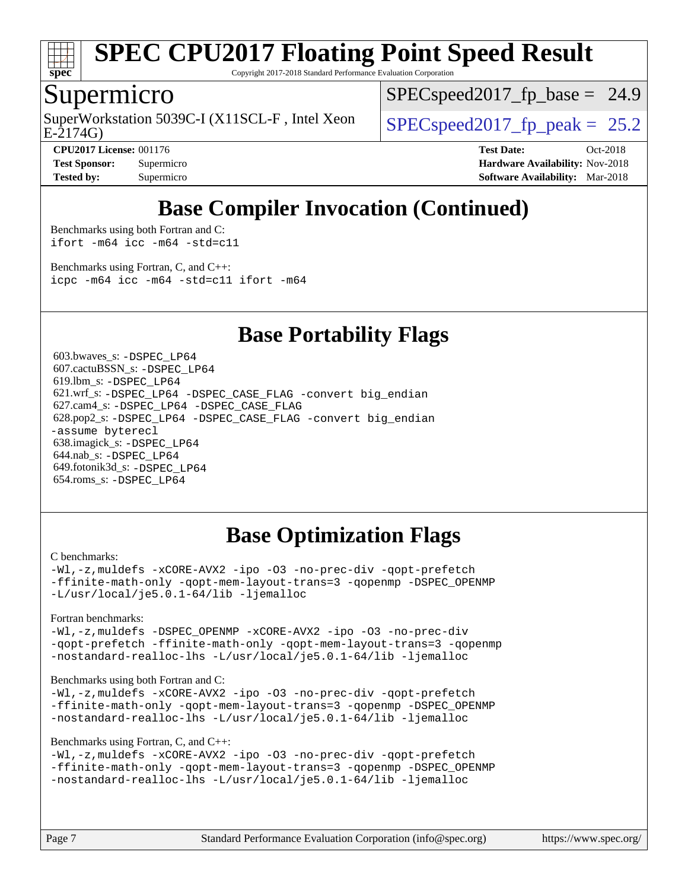

Copyright 2017-2018 Standard Performance Evaluation Corporation

#### Supermicro

E-2174G) SuperWorkstation 5039C-I (X11SCL-F, Intel Xeon  $\big|$  [SPECspeed2017\\_fp\\_peak =](http://www.spec.org/auto/cpu2017/Docs/result-fields.html#SPECspeed2017fppeak) 25.2

 $SPECspeed2017<sub>fp</sub> base = 24.9$ 

**[CPU2017 License:](http://www.spec.org/auto/cpu2017/Docs/result-fields.html#CPU2017License)** 001176 **[Test Date:](http://www.spec.org/auto/cpu2017/Docs/result-fields.html#TestDate)** Oct-2018 **[Test Sponsor:](http://www.spec.org/auto/cpu2017/Docs/result-fields.html#TestSponsor)** Supermicro **[Hardware Availability:](http://www.spec.org/auto/cpu2017/Docs/result-fields.html#HardwareAvailability)** Nov-2018 **[Tested by:](http://www.spec.org/auto/cpu2017/Docs/result-fields.html#Testedby)** Supermicro **[Software Availability:](http://www.spec.org/auto/cpu2017/Docs/result-fields.html#SoftwareAvailability)** Mar-2018

## **[Base Compiler Invocation \(Continued\)](http://www.spec.org/auto/cpu2017/Docs/result-fields.html#BaseCompilerInvocation)**

[Benchmarks using both Fortran and C](http://www.spec.org/auto/cpu2017/Docs/result-fields.html#BenchmarksusingbothFortranandC): [ifort -m64](http://www.spec.org/cpu2017/results/res2018q4/cpu2017-20181112-09669.flags.html#user_CC_FCbase_intel_ifort_64bit_24f2bb282fbaeffd6157abe4f878425411749daecae9a33200eee2bee2fe76f3b89351d69a8130dd5949958ce389cf37ff59a95e7a40d588e8d3a57e0c3fd751) [icc -m64 -std=c11](http://www.spec.org/cpu2017/results/res2018q4/cpu2017-20181112-09669.flags.html#user_CC_FCbase_intel_icc_64bit_c11_33ee0cdaae7deeeab2a9725423ba97205ce30f63b9926c2519791662299b76a0318f32ddfffdc46587804de3178b4f9328c46fa7c2b0cd779d7a61945c91cd35)

[Benchmarks using Fortran, C, and C++:](http://www.spec.org/auto/cpu2017/Docs/result-fields.html#BenchmarksusingFortranCandCXX) [icpc -m64](http://www.spec.org/cpu2017/results/res2018q4/cpu2017-20181112-09669.flags.html#user_CC_CXX_FCbase_intel_icpc_64bit_4ecb2543ae3f1412ef961e0650ca070fec7b7afdcd6ed48761b84423119d1bf6bdf5cad15b44d48e7256388bc77273b966e5eb805aefd121eb22e9299b2ec9d9) [icc -m64 -std=c11](http://www.spec.org/cpu2017/results/res2018q4/cpu2017-20181112-09669.flags.html#user_CC_CXX_FCbase_intel_icc_64bit_c11_33ee0cdaae7deeeab2a9725423ba97205ce30f63b9926c2519791662299b76a0318f32ddfffdc46587804de3178b4f9328c46fa7c2b0cd779d7a61945c91cd35) [ifort -m64](http://www.spec.org/cpu2017/results/res2018q4/cpu2017-20181112-09669.flags.html#user_CC_CXX_FCbase_intel_ifort_64bit_24f2bb282fbaeffd6157abe4f878425411749daecae9a33200eee2bee2fe76f3b89351d69a8130dd5949958ce389cf37ff59a95e7a40d588e8d3a57e0c3fd751)

### **[Base Portability Flags](http://www.spec.org/auto/cpu2017/Docs/result-fields.html#BasePortabilityFlags)**

 603.bwaves\_s: [-DSPEC\\_LP64](http://www.spec.org/cpu2017/results/res2018q4/cpu2017-20181112-09669.flags.html#suite_basePORTABILITY603_bwaves_s_DSPEC_LP64) 607.cactuBSSN\_s: [-DSPEC\\_LP64](http://www.spec.org/cpu2017/results/res2018q4/cpu2017-20181112-09669.flags.html#suite_basePORTABILITY607_cactuBSSN_s_DSPEC_LP64) 619.lbm\_s: [-DSPEC\\_LP64](http://www.spec.org/cpu2017/results/res2018q4/cpu2017-20181112-09669.flags.html#suite_basePORTABILITY619_lbm_s_DSPEC_LP64) 621.wrf\_s: [-DSPEC\\_LP64](http://www.spec.org/cpu2017/results/res2018q4/cpu2017-20181112-09669.flags.html#suite_basePORTABILITY621_wrf_s_DSPEC_LP64) [-DSPEC\\_CASE\\_FLAG](http://www.spec.org/cpu2017/results/res2018q4/cpu2017-20181112-09669.flags.html#b621.wrf_s_baseCPORTABILITY_DSPEC_CASE_FLAG) [-convert big\\_endian](http://www.spec.org/cpu2017/results/res2018q4/cpu2017-20181112-09669.flags.html#user_baseFPORTABILITY621_wrf_s_convert_big_endian_c3194028bc08c63ac5d04de18c48ce6d347e4e562e8892b8bdbdc0214820426deb8554edfa529a3fb25a586e65a3d812c835984020483e7e73212c4d31a38223) 627.cam4\_s: [-DSPEC\\_LP64](http://www.spec.org/cpu2017/results/res2018q4/cpu2017-20181112-09669.flags.html#suite_basePORTABILITY627_cam4_s_DSPEC_LP64) [-DSPEC\\_CASE\\_FLAG](http://www.spec.org/cpu2017/results/res2018q4/cpu2017-20181112-09669.flags.html#b627.cam4_s_baseCPORTABILITY_DSPEC_CASE_FLAG) 628.pop2\_s: [-DSPEC\\_LP64](http://www.spec.org/cpu2017/results/res2018q4/cpu2017-20181112-09669.flags.html#suite_basePORTABILITY628_pop2_s_DSPEC_LP64) [-DSPEC\\_CASE\\_FLAG](http://www.spec.org/cpu2017/results/res2018q4/cpu2017-20181112-09669.flags.html#b628.pop2_s_baseCPORTABILITY_DSPEC_CASE_FLAG) [-convert big\\_endian](http://www.spec.org/cpu2017/results/res2018q4/cpu2017-20181112-09669.flags.html#user_baseFPORTABILITY628_pop2_s_convert_big_endian_c3194028bc08c63ac5d04de18c48ce6d347e4e562e8892b8bdbdc0214820426deb8554edfa529a3fb25a586e65a3d812c835984020483e7e73212c4d31a38223) [-assume byterecl](http://www.spec.org/cpu2017/results/res2018q4/cpu2017-20181112-09669.flags.html#user_baseFPORTABILITY628_pop2_s_assume_byterecl_7e47d18b9513cf18525430bbf0f2177aa9bf368bc7a059c09b2c06a34b53bd3447c950d3f8d6c70e3faf3a05c8557d66a5798b567902e8849adc142926523472) 638.imagick\_s: [-DSPEC\\_LP64](http://www.spec.org/cpu2017/results/res2018q4/cpu2017-20181112-09669.flags.html#suite_basePORTABILITY638_imagick_s_DSPEC_LP64) 644.nab\_s: [-DSPEC\\_LP64](http://www.spec.org/cpu2017/results/res2018q4/cpu2017-20181112-09669.flags.html#suite_basePORTABILITY644_nab_s_DSPEC_LP64) 649.fotonik3d\_s: [-DSPEC\\_LP64](http://www.spec.org/cpu2017/results/res2018q4/cpu2017-20181112-09669.flags.html#suite_basePORTABILITY649_fotonik3d_s_DSPEC_LP64) 654.roms\_s: [-DSPEC\\_LP64](http://www.spec.org/cpu2017/results/res2018q4/cpu2017-20181112-09669.flags.html#suite_basePORTABILITY654_roms_s_DSPEC_LP64)

## **[Base Optimization Flags](http://www.spec.org/auto/cpu2017/Docs/result-fields.html#BaseOptimizationFlags)**

#### [C benchmarks](http://www.spec.org/auto/cpu2017/Docs/result-fields.html#Cbenchmarks):

[-Wl,-z,muldefs](http://www.spec.org/cpu2017/results/res2018q4/cpu2017-20181112-09669.flags.html#user_CCbase_link_force_multiple1_b4cbdb97b34bdee9ceefcfe54f4c8ea74255f0b02a4b23e853cdb0e18eb4525ac79b5a88067c842dd0ee6996c24547a27a4b99331201badda8798ef8a743f577) [-xCORE-AVX2](http://www.spec.org/cpu2017/results/res2018q4/cpu2017-20181112-09669.flags.html#user_CCbase_f-xCORE-AVX2) [-ipo](http://www.spec.org/cpu2017/results/res2018q4/cpu2017-20181112-09669.flags.html#user_CCbase_f-ipo) [-O3](http://www.spec.org/cpu2017/results/res2018q4/cpu2017-20181112-09669.flags.html#user_CCbase_f-O3) [-no-prec-div](http://www.spec.org/cpu2017/results/res2018q4/cpu2017-20181112-09669.flags.html#user_CCbase_f-no-prec-div) [-qopt-prefetch](http://www.spec.org/cpu2017/results/res2018q4/cpu2017-20181112-09669.flags.html#user_CCbase_f-qopt-prefetch) [-ffinite-math-only](http://www.spec.org/cpu2017/results/res2018q4/cpu2017-20181112-09669.flags.html#user_CCbase_f_finite_math_only_cb91587bd2077682c4b38af759c288ed7c732db004271a9512da14a4f8007909a5f1427ecbf1a0fb78ff2a814402c6114ac565ca162485bbcae155b5e4258871) [-qopt-mem-layout-trans=3](http://www.spec.org/cpu2017/results/res2018q4/cpu2017-20181112-09669.flags.html#user_CCbase_f-qopt-mem-layout-trans_de80db37974c74b1f0e20d883f0b675c88c3b01e9d123adea9b28688d64333345fb62bc4a798493513fdb68f60282f9a726aa07f478b2f7113531aecce732043) [-qopenmp](http://www.spec.org/cpu2017/results/res2018q4/cpu2017-20181112-09669.flags.html#user_CCbase_qopenmp_16be0c44f24f464004c6784a7acb94aca937f053568ce72f94b139a11c7c168634a55f6653758ddd83bcf7b8463e8028bb0b48b77bcddc6b78d5d95bb1df2967) [-DSPEC\\_OPENMP](http://www.spec.org/cpu2017/results/res2018q4/cpu2017-20181112-09669.flags.html#suite_CCbase_DSPEC_OPENMP) [-L/usr/local/je5.0.1-64/lib](http://www.spec.org/cpu2017/results/res2018q4/cpu2017-20181112-09669.flags.html#user_CCbase_jemalloc_link_path64_4b10a636b7bce113509b17f3bd0d6226c5fb2346b9178c2d0232c14f04ab830f976640479e5c33dc2bcbbdad86ecfb6634cbbd4418746f06f368b512fced5394) [-ljemalloc](http://www.spec.org/cpu2017/results/res2018q4/cpu2017-20181112-09669.flags.html#user_CCbase_jemalloc_link_lib_d1249b907c500fa1c0672f44f562e3d0f79738ae9e3c4a9c376d49f265a04b9c99b167ecedbf6711b3085be911c67ff61f150a17b3472be731631ba4d0471706)

[Fortran benchmarks](http://www.spec.org/auto/cpu2017/Docs/result-fields.html#Fortranbenchmarks):

[-Wl,-z,muldefs](http://www.spec.org/cpu2017/results/res2018q4/cpu2017-20181112-09669.flags.html#user_FCbase_link_force_multiple1_b4cbdb97b34bdee9ceefcfe54f4c8ea74255f0b02a4b23e853cdb0e18eb4525ac79b5a88067c842dd0ee6996c24547a27a4b99331201badda8798ef8a743f577) [-DSPEC\\_OPENMP](http://www.spec.org/cpu2017/results/res2018q4/cpu2017-20181112-09669.flags.html#suite_FCbase_DSPEC_OPENMP) [-xCORE-AVX2](http://www.spec.org/cpu2017/results/res2018q4/cpu2017-20181112-09669.flags.html#user_FCbase_f-xCORE-AVX2) [-ipo](http://www.spec.org/cpu2017/results/res2018q4/cpu2017-20181112-09669.flags.html#user_FCbase_f-ipo) [-O3](http://www.spec.org/cpu2017/results/res2018q4/cpu2017-20181112-09669.flags.html#user_FCbase_f-O3) [-no-prec-div](http://www.spec.org/cpu2017/results/res2018q4/cpu2017-20181112-09669.flags.html#user_FCbase_f-no-prec-div) [-qopt-prefetch](http://www.spec.org/cpu2017/results/res2018q4/cpu2017-20181112-09669.flags.html#user_FCbase_f-qopt-prefetch) [-ffinite-math-only](http://www.spec.org/cpu2017/results/res2018q4/cpu2017-20181112-09669.flags.html#user_FCbase_f_finite_math_only_cb91587bd2077682c4b38af759c288ed7c732db004271a9512da14a4f8007909a5f1427ecbf1a0fb78ff2a814402c6114ac565ca162485bbcae155b5e4258871) [-qopt-mem-layout-trans=3](http://www.spec.org/cpu2017/results/res2018q4/cpu2017-20181112-09669.flags.html#user_FCbase_f-qopt-mem-layout-trans_de80db37974c74b1f0e20d883f0b675c88c3b01e9d123adea9b28688d64333345fb62bc4a798493513fdb68f60282f9a726aa07f478b2f7113531aecce732043) [-qopenmp](http://www.spec.org/cpu2017/results/res2018q4/cpu2017-20181112-09669.flags.html#user_FCbase_qopenmp_16be0c44f24f464004c6784a7acb94aca937f053568ce72f94b139a11c7c168634a55f6653758ddd83bcf7b8463e8028bb0b48b77bcddc6b78d5d95bb1df2967) [-nostandard-realloc-lhs](http://www.spec.org/cpu2017/results/res2018q4/cpu2017-20181112-09669.flags.html#user_FCbase_f_2003_std_realloc_82b4557e90729c0f113870c07e44d33d6f5a304b4f63d4c15d2d0f1fab99f5daaed73bdb9275d9ae411527f28b936061aa8b9c8f2d63842963b95c9dd6426b8a) [-L/usr/local/je5.0.1-64/lib](http://www.spec.org/cpu2017/results/res2018q4/cpu2017-20181112-09669.flags.html#user_FCbase_jemalloc_link_path64_4b10a636b7bce113509b17f3bd0d6226c5fb2346b9178c2d0232c14f04ab830f976640479e5c33dc2bcbbdad86ecfb6634cbbd4418746f06f368b512fced5394) [-ljemalloc](http://www.spec.org/cpu2017/results/res2018q4/cpu2017-20181112-09669.flags.html#user_FCbase_jemalloc_link_lib_d1249b907c500fa1c0672f44f562e3d0f79738ae9e3c4a9c376d49f265a04b9c99b167ecedbf6711b3085be911c67ff61f150a17b3472be731631ba4d0471706)

#### [Benchmarks using both Fortran and C](http://www.spec.org/auto/cpu2017/Docs/result-fields.html#BenchmarksusingbothFortranandC):

[-Wl,-z,muldefs](http://www.spec.org/cpu2017/results/res2018q4/cpu2017-20181112-09669.flags.html#user_CC_FCbase_link_force_multiple1_b4cbdb97b34bdee9ceefcfe54f4c8ea74255f0b02a4b23e853cdb0e18eb4525ac79b5a88067c842dd0ee6996c24547a27a4b99331201badda8798ef8a743f577) [-xCORE-AVX2](http://www.spec.org/cpu2017/results/res2018q4/cpu2017-20181112-09669.flags.html#user_CC_FCbase_f-xCORE-AVX2) [-ipo](http://www.spec.org/cpu2017/results/res2018q4/cpu2017-20181112-09669.flags.html#user_CC_FCbase_f-ipo) [-O3](http://www.spec.org/cpu2017/results/res2018q4/cpu2017-20181112-09669.flags.html#user_CC_FCbase_f-O3) [-no-prec-div](http://www.spec.org/cpu2017/results/res2018q4/cpu2017-20181112-09669.flags.html#user_CC_FCbase_f-no-prec-div) [-qopt-prefetch](http://www.spec.org/cpu2017/results/res2018q4/cpu2017-20181112-09669.flags.html#user_CC_FCbase_f-qopt-prefetch) [-ffinite-math-only](http://www.spec.org/cpu2017/results/res2018q4/cpu2017-20181112-09669.flags.html#user_CC_FCbase_f_finite_math_only_cb91587bd2077682c4b38af759c288ed7c732db004271a9512da14a4f8007909a5f1427ecbf1a0fb78ff2a814402c6114ac565ca162485bbcae155b5e4258871) [-qopt-mem-layout-trans=3](http://www.spec.org/cpu2017/results/res2018q4/cpu2017-20181112-09669.flags.html#user_CC_FCbase_f-qopt-mem-layout-trans_de80db37974c74b1f0e20d883f0b675c88c3b01e9d123adea9b28688d64333345fb62bc4a798493513fdb68f60282f9a726aa07f478b2f7113531aecce732043) [-qopenmp](http://www.spec.org/cpu2017/results/res2018q4/cpu2017-20181112-09669.flags.html#user_CC_FCbase_qopenmp_16be0c44f24f464004c6784a7acb94aca937f053568ce72f94b139a11c7c168634a55f6653758ddd83bcf7b8463e8028bb0b48b77bcddc6b78d5d95bb1df2967) [-DSPEC\\_OPENMP](http://www.spec.org/cpu2017/results/res2018q4/cpu2017-20181112-09669.flags.html#suite_CC_FCbase_DSPEC_OPENMP) [-nostandard-realloc-lhs](http://www.spec.org/cpu2017/results/res2018q4/cpu2017-20181112-09669.flags.html#user_CC_FCbase_f_2003_std_realloc_82b4557e90729c0f113870c07e44d33d6f5a304b4f63d4c15d2d0f1fab99f5daaed73bdb9275d9ae411527f28b936061aa8b9c8f2d63842963b95c9dd6426b8a) [-L/usr/local/je5.0.1-64/lib](http://www.spec.org/cpu2017/results/res2018q4/cpu2017-20181112-09669.flags.html#user_CC_FCbase_jemalloc_link_path64_4b10a636b7bce113509b17f3bd0d6226c5fb2346b9178c2d0232c14f04ab830f976640479e5c33dc2bcbbdad86ecfb6634cbbd4418746f06f368b512fced5394) [-ljemalloc](http://www.spec.org/cpu2017/results/res2018q4/cpu2017-20181112-09669.flags.html#user_CC_FCbase_jemalloc_link_lib_d1249b907c500fa1c0672f44f562e3d0f79738ae9e3c4a9c376d49f265a04b9c99b167ecedbf6711b3085be911c67ff61f150a17b3472be731631ba4d0471706)

#### [Benchmarks using Fortran, C, and C++:](http://www.spec.org/auto/cpu2017/Docs/result-fields.html#BenchmarksusingFortranCandCXX)

```
-Wl,-z,muldefs -xCORE-AVX2 -ipo -O3 -no-prec-div -qopt-prefetch
-ffinite-math-only -qopt-mem-layout-trans=3 -qopenmp -DSPEC_OPENMP
-nostandard-realloc-lhs -L/usr/local/je5.0.1-64/lib -ljemalloc
```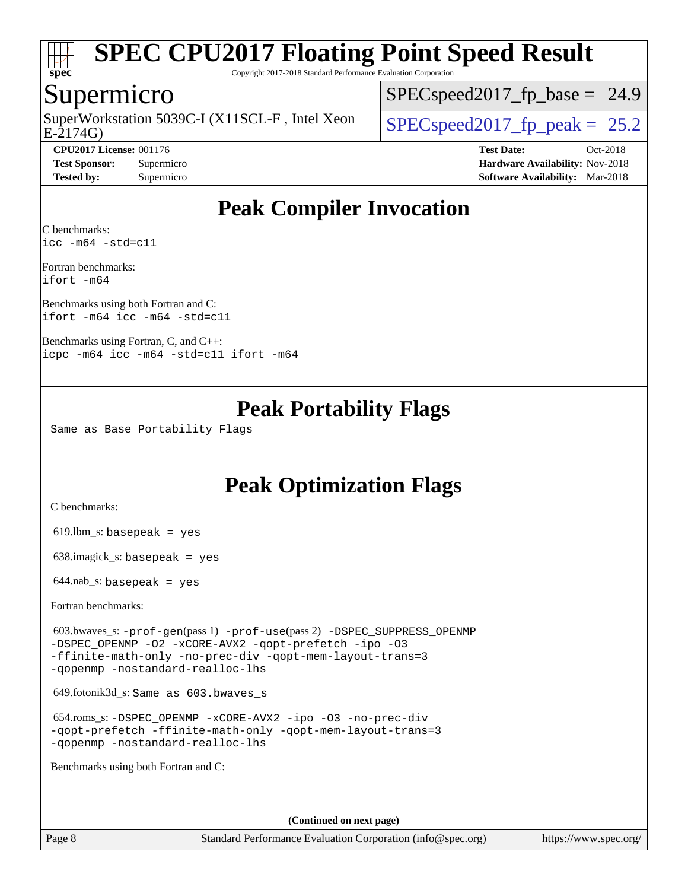

Copyright 2017-2018 Standard Performance Evaluation Corporation

### Supermicro

E-2174G) SuperWorkstation 5039C-I (X11SCL-F, Intel Xeon  $\big|$  [SPECspeed2017\\_fp\\_peak =](http://www.spec.org/auto/cpu2017/Docs/result-fields.html#SPECspeed2017fppeak) 25.2

 $SPECspeed2017<sub>fp</sub> base = 24.9$ 

**[CPU2017 License:](http://www.spec.org/auto/cpu2017/Docs/result-fields.html#CPU2017License)** 001176 **[Test Date:](http://www.spec.org/auto/cpu2017/Docs/result-fields.html#TestDate)** Oct-2018 **[Test Sponsor:](http://www.spec.org/auto/cpu2017/Docs/result-fields.html#TestSponsor)** Supermicro **[Hardware Availability:](http://www.spec.org/auto/cpu2017/Docs/result-fields.html#HardwareAvailability)** Nov-2018 **[Tested by:](http://www.spec.org/auto/cpu2017/Docs/result-fields.html#Testedby)** Supermicro **[Software Availability:](http://www.spec.org/auto/cpu2017/Docs/result-fields.html#SoftwareAvailability)** Mar-2018

## **[Peak Compiler Invocation](http://www.spec.org/auto/cpu2017/Docs/result-fields.html#PeakCompilerInvocation)**

[C benchmarks](http://www.spec.org/auto/cpu2017/Docs/result-fields.html#Cbenchmarks): [icc -m64 -std=c11](http://www.spec.org/cpu2017/results/res2018q4/cpu2017-20181112-09669.flags.html#user_CCpeak_intel_icc_64bit_c11_33ee0cdaae7deeeab2a9725423ba97205ce30f63b9926c2519791662299b76a0318f32ddfffdc46587804de3178b4f9328c46fa7c2b0cd779d7a61945c91cd35)

[Fortran benchmarks:](http://www.spec.org/auto/cpu2017/Docs/result-fields.html#Fortranbenchmarks) [ifort -m64](http://www.spec.org/cpu2017/results/res2018q4/cpu2017-20181112-09669.flags.html#user_FCpeak_intel_ifort_64bit_24f2bb282fbaeffd6157abe4f878425411749daecae9a33200eee2bee2fe76f3b89351d69a8130dd5949958ce389cf37ff59a95e7a40d588e8d3a57e0c3fd751)

[Benchmarks using both Fortran and C](http://www.spec.org/auto/cpu2017/Docs/result-fields.html#BenchmarksusingbothFortranandC): [ifort -m64](http://www.spec.org/cpu2017/results/res2018q4/cpu2017-20181112-09669.flags.html#user_CC_FCpeak_intel_ifort_64bit_24f2bb282fbaeffd6157abe4f878425411749daecae9a33200eee2bee2fe76f3b89351d69a8130dd5949958ce389cf37ff59a95e7a40d588e8d3a57e0c3fd751) [icc -m64 -std=c11](http://www.spec.org/cpu2017/results/res2018q4/cpu2017-20181112-09669.flags.html#user_CC_FCpeak_intel_icc_64bit_c11_33ee0cdaae7deeeab2a9725423ba97205ce30f63b9926c2519791662299b76a0318f32ddfffdc46587804de3178b4f9328c46fa7c2b0cd779d7a61945c91cd35)

[Benchmarks using Fortran, C, and C++](http://www.spec.org/auto/cpu2017/Docs/result-fields.html#BenchmarksusingFortranCandCXX): [icpc -m64](http://www.spec.org/cpu2017/results/res2018q4/cpu2017-20181112-09669.flags.html#user_CC_CXX_FCpeak_intel_icpc_64bit_4ecb2543ae3f1412ef961e0650ca070fec7b7afdcd6ed48761b84423119d1bf6bdf5cad15b44d48e7256388bc77273b966e5eb805aefd121eb22e9299b2ec9d9) [icc -m64 -std=c11](http://www.spec.org/cpu2017/results/res2018q4/cpu2017-20181112-09669.flags.html#user_CC_CXX_FCpeak_intel_icc_64bit_c11_33ee0cdaae7deeeab2a9725423ba97205ce30f63b9926c2519791662299b76a0318f32ddfffdc46587804de3178b4f9328c46fa7c2b0cd779d7a61945c91cd35) [ifort -m64](http://www.spec.org/cpu2017/results/res2018q4/cpu2017-20181112-09669.flags.html#user_CC_CXX_FCpeak_intel_ifort_64bit_24f2bb282fbaeffd6157abe4f878425411749daecae9a33200eee2bee2fe76f3b89351d69a8130dd5949958ce389cf37ff59a95e7a40d588e8d3a57e0c3fd751)

## **[Peak Portability Flags](http://www.spec.org/auto/cpu2017/Docs/result-fields.html#PeakPortabilityFlags)**

Same as Base Portability Flags

## **[Peak Optimization Flags](http://www.spec.org/auto/cpu2017/Docs/result-fields.html#PeakOptimizationFlags)**

[C benchmarks](http://www.spec.org/auto/cpu2017/Docs/result-fields.html#Cbenchmarks):

 $619.$ lbm\_s: basepeak = yes

638.imagick\_s: basepeak = yes

 $644$ .nab\_s: basepeak = yes

[Fortran benchmarks](http://www.spec.org/auto/cpu2017/Docs/result-fields.html#Fortranbenchmarks):

 603.bwaves\_s: [-prof-gen](http://www.spec.org/cpu2017/results/res2018q4/cpu2017-20181112-09669.flags.html#user_peakPASS1_FFLAGSPASS1_LDFLAGS603_bwaves_s_prof_gen_5aa4926d6013ddb2a31985c654b3eb18169fc0c6952a63635c234f711e6e63dd76e94ad52365559451ec499a2cdb89e4dc58ba4c67ef54ca681ffbe1461d6b36)(pass 1) [-prof-use](http://www.spec.org/cpu2017/results/res2018q4/cpu2017-20181112-09669.flags.html#user_peakPASS2_FFLAGSPASS2_LDFLAGS603_bwaves_s_prof_use_1a21ceae95f36a2b53c25747139a6c16ca95bd9def2a207b4f0849963b97e94f5260e30a0c64f4bb623698870e679ca08317ef8150905d41bd88c6f78df73f19)(pass 2) [-DSPEC\\_SUPPRESS\\_OPENMP](http://www.spec.org/cpu2017/results/res2018q4/cpu2017-20181112-09669.flags.html#suite_peakPASS1_FOPTIMIZE603_bwaves_s_DSPEC_SUPPRESS_OPENMP) [-DSPEC\\_OPENMP](http://www.spec.org/cpu2017/results/res2018q4/cpu2017-20181112-09669.flags.html#suite_peakPASS2_FOPTIMIZE603_bwaves_s_DSPEC_OPENMP) [-O2](http://www.spec.org/cpu2017/results/res2018q4/cpu2017-20181112-09669.flags.html#user_peakPASS1_FOPTIMIZE603_bwaves_s_f-O2) [-xCORE-AVX2](http://www.spec.org/cpu2017/results/res2018q4/cpu2017-20181112-09669.flags.html#user_peakPASS2_FOPTIMIZE603_bwaves_s_f-xCORE-AVX2) [-qopt-prefetch](http://www.spec.org/cpu2017/results/res2018q4/cpu2017-20181112-09669.flags.html#user_peakPASS1_FOPTIMIZEPASS2_FOPTIMIZE603_bwaves_s_f-qopt-prefetch) [-ipo](http://www.spec.org/cpu2017/results/res2018q4/cpu2017-20181112-09669.flags.html#user_peakPASS2_FOPTIMIZE603_bwaves_s_f-ipo) [-O3](http://www.spec.org/cpu2017/results/res2018q4/cpu2017-20181112-09669.flags.html#user_peakPASS2_FOPTIMIZE603_bwaves_s_f-O3) [-ffinite-math-only](http://www.spec.org/cpu2017/results/res2018q4/cpu2017-20181112-09669.flags.html#user_peakPASS1_FOPTIMIZEPASS2_FOPTIMIZE603_bwaves_s_f_finite_math_only_cb91587bd2077682c4b38af759c288ed7c732db004271a9512da14a4f8007909a5f1427ecbf1a0fb78ff2a814402c6114ac565ca162485bbcae155b5e4258871) [-no-prec-div](http://www.spec.org/cpu2017/results/res2018q4/cpu2017-20181112-09669.flags.html#user_peakPASS2_FOPTIMIZE603_bwaves_s_f-no-prec-div) [-qopt-mem-layout-trans=3](http://www.spec.org/cpu2017/results/res2018q4/cpu2017-20181112-09669.flags.html#user_peakPASS1_FOPTIMIZEPASS2_FOPTIMIZE603_bwaves_s_f-qopt-mem-layout-trans_de80db37974c74b1f0e20d883f0b675c88c3b01e9d123adea9b28688d64333345fb62bc4a798493513fdb68f60282f9a726aa07f478b2f7113531aecce732043) [-qopenmp](http://www.spec.org/cpu2017/results/res2018q4/cpu2017-20181112-09669.flags.html#user_peakPASS2_FOPTIMIZE603_bwaves_s_qopenmp_16be0c44f24f464004c6784a7acb94aca937f053568ce72f94b139a11c7c168634a55f6653758ddd83bcf7b8463e8028bb0b48b77bcddc6b78d5d95bb1df2967) [-nostandard-realloc-lhs](http://www.spec.org/cpu2017/results/res2018q4/cpu2017-20181112-09669.flags.html#user_peakEXTRA_FOPTIMIZE603_bwaves_s_f_2003_std_realloc_82b4557e90729c0f113870c07e44d33d6f5a304b4f63d4c15d2d0f1fab99f5daaed73bdb9275d9ae411527f28b936061aa8b9c8f2d63842963b95c9dd6426b8a)

649.fotonik3d\_s: Same as 603.bwaves\_s

 654.roms\_s: [-DSPEC\\_OPENMP](http://www.spec.org/cpu2017/results/res2018q4/cpu2017-20181112-09669.flags.html#suite_peakFOPTIMIZE654_roms_s_DSPEC_OPENMP) [-xCORE-AVX2](http://www.spec.org/cpu2017/results/res2018q4/cpu2017-20181112-09669.flags.html#user_peakFOPTIMIZE654_roms_s_f-xCORE-AVX2) [-ipo](http://www.spec.org/cpu2017/results/res2018q4/cpu2017-20181112-09669.flags.html#user_peakFOPTIMIZE654_roms_s_f-ipo) [-O3](http://www.spec.org/cpu2017/results/res2018q4/cpu2017-20181112-09669.flags.html#user_peakFOPTIMIZE654_roms_s_f-O3) [-no-prec-div](http://www.spec.org/cpu2017/results/res2018q4/cpu2017-20181112-09669.flags.html#user_peakFOPTIMIZE654_roms_s_f-no-prec-div) [-qopt-prefetch](http://www.spec.org/cpu2017/results/res2018q4/cpu2017-20181112-09669.flags.html#user_peakFOPTIMIZE654_roms_s_f-qopt-prefetch) [-ffinite-math-only](http://www.spec.org/cpu2017/results/res2018q4/cpu2017-20181112-09669.flags.html#user_peakFOPTIMIZE654_roms_s_f_finite_math_only_cb91587bd2077682c4b38af759c288ed7c732db004271a9512da14a4f8007909a5f1427ecbf1a0fb78ff2a814402c6114ac565ca162485bbcae155b5e4258871) [-qopt-mem-layout-trans=3](http://www.spec.org/cpu2017/results/res2018q4/cpu2017-20181112-09669.flags.html#user_peakFOPTIMIZE654_roms_s_f-qopt-mem-layout-trans_de80db37974c74b1f0e20d883f0b675c88c3b01e9d123adea9b28688d64333345fb62bc4a798493513fdb68f60282f9a726aa07f478b2f7113531aecce732043) [-qopenmp](http://www.spec.org/cpu2017/results/res2018q4/cpu2017-20181112-09669.flags.html#user_peakFOPTIMIZE654_roms_s_qopenmp_16be0c44f24f464004c6784a7acb94aca937f053568ce72f94b139a11c7c168634a55f6653758ddd83bcf7b8463e8028bb0b48b77bcddc6b78d5d95bb1df2967) [-nostandard-realloc-lhs](http://www.spec.org/cpu2017/results/res2018q4/cpu2017-20181112-09669.flags.html#user_peakEXTRA_FOPTIMIZE654_roms_s_f_2003_std_realloc_82b4557e90729c0f113870c07e44d33d6f5a304b4f63d4c15d2d0f1fab99f5daaed73bdb9275d9ae411527f28b936061aa8b9c8f2d63842963b95c9dd6426b8a)

[Benchmarks using both Fortran and C](http://www.spec.org/auto/cpu2017/Docs/result-fields.html#BenchmarksusingbothFortranandC):

**(Continued on next page)**